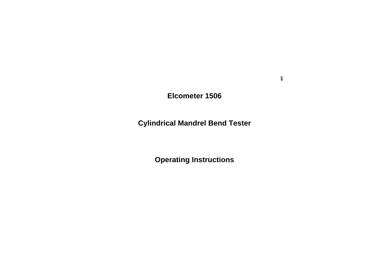### **Elcometer 1506**

## **Cylindrical Mandrel Bend Tester**

# **Operating Instructions**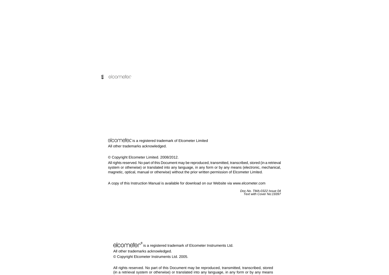elcomete is a registered trademark of Elcometer Limited All other trademarks acknowledged.

© Copyright Elcometer Limited. 2008/2012.

All rights reserved. No part of this Document may be reproduced, transmitted, transcribed, stored (in a retrieval system or otherwise) or translated into any language, in any form or by any means (electronic, mechanical, magnetic, optical, manual or otherwise) without the prior written permission of Elcometer Limited.

A copy of this Instruction Manual is available for download on our Website via www.elcometer.com

*Doc.No. TMA-0322 Issue 04Text with Cover No:19397*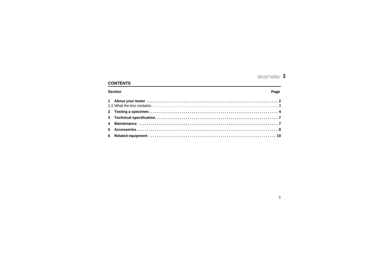### **CONTENTS**

### **Section**

### Page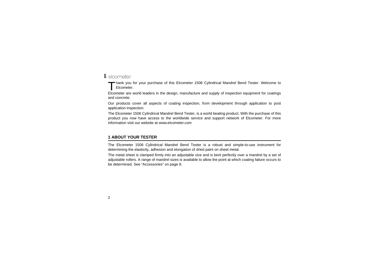**&** elcometer

hank you for your purchase of this Elcometer 1506 Cylindrical Mandrel Bend Tester. Welcome to Elcometer.T

Elcometer are world leaders in the design, manufacture and supply of inspection equipment for coatings and concrete.

Our products cover all aspects of coating inspection, from development through application to post application inspection.

The Elcometer 1506 Cylindrical Mandrel Bend Tester, is a world beating product. With the purchase of this product you now have access to the worldwide service and support network of Elcometer. For more information visit our website at [www.elcometer.com](http://www.elcometer.com)

### <span id="page-3-0"></span>**1 ABOUT YOUR TESTER**

The Elcometer 1506 Cylindrical Mandrel Bend Tester is a robust and simple-to-use instrument for determining the elasticity, adhesion and elongation of dried paint on sheet metal.

The metal sheet is clamped firmly into an adjustable vice and is bent perfectly over a mandrel by a set of adjustable rollers. A range of mandrel sizes is available to allow the point at which coating failure occurs to be determined. See ["Accessories" on page](#page-9-0) 8.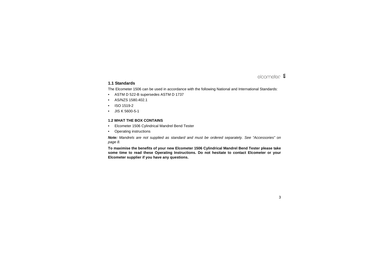### **1.1 Standards**

The Elcometer 1506 can be used in accordance with the following National and International Standards:

- •ASTM D 522-B supersedes ASTM D 1737
- •AS/NZS 1580.402.1
- •ISO 1519-2
- •JIS K 5600-5-1

### <span id="page-4-0"></span>**1.2 WHAT THE BOX CONTAINS**

- •Elcometer 1506 Cylindrical Mandrel Bend Tester
- •Operating instructions

*Note: Mandrels are not supplied as standard and must be ordered separately. See ["Accessories" on](#page-9-0) [page](#page-9-0) 8.*

**To maximise the benefits of your new Elcometer 1506 Cylindrical Mandrel Bend Tester please take some time to read these Operating Instructions. Do not hesitate to contact Elcometer or your Elcometer supplier if you have any questions.**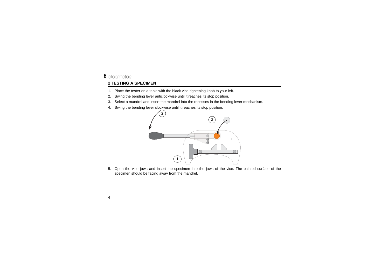### elcometer **en**

### <span id="page-5-0"></span>**2 TESTING A SPECIMEN**

- 1. Place the tester on a table with the black vice-tightening knob to your left.
- 2. Swing the bending lever anticlockwise until it reaches its stop position.
- 3. Select a mandrel and insert the mandrel into the recesses in the bending lever mechanism.
- 4. Swing the bending lever clockwise until it reaches its stop position.



5. Open the vice jaws and insert the specimen into the jaws of the vice. The painted surface of the specimen should be facing away from the mandrel.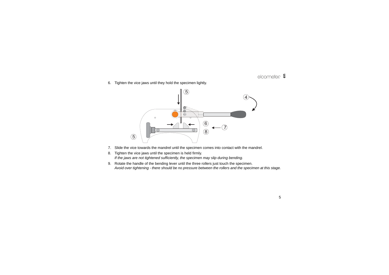6. Tighten the vice jaws until they hold the specimen lightly.



- 7. Slide the vice towards the mandrel until the specimen comes into contact with the mandrel.
- 8. Tighten the vice jaws until the specimen is held firmly. *If the jaws are not tightened sufficiently, the specimen may slip during bending.*
- 9. Rotate the handle of the bending lever until the three rollers just touch the specimen. *Avoid over tightening - there should be no pressure between the rollers and the specimen at this stage.*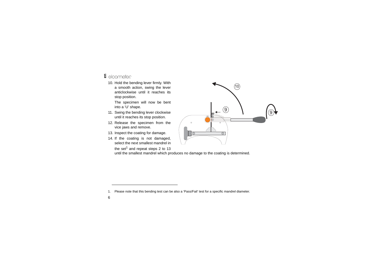- **&** elcometer
	- 10. Hold the bending lever firmly. With a smooth action, swing the lever anticlockwise until it reaches itsstop position.

The specimen will now be bent into a 'U' shape.

- 11. Swing the bending lever clockwise until it reaches its stop position.
- 12. Release the specimen from the vice jaws and remove.
- <span id="page-7-0"></span>13. Inspect the coating for damage.
- 14. If the coating is not damaged, select the next smallest mandrel inthe set<sup>1</sup> and repeat steps 2 to [13](#page-7-0)



until the smallest mandrel which produces no damage to the coating is determined.

<sup>1.</sup> Please note that this bending test can be also a 'Pass/Fail' test for a specific mandrel diameter.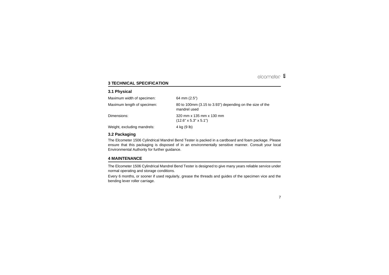### <span id="page-8-0"></span>**3 TECHNICAL SPECIFICATION**

### **3.1 Physical**

| Maximum width of specimen:  | 64 mm $(2.5")$                                                           |
|-----------------------------|--------------------------------------------------------------------------|
| Maximum length of specimen: | 80 to 100mm (3.15 to 3.93") depending on the size of the<br>mandrel used |
| Dimensions:                 | 320 mm x 135 mm x 130 mm<br>$(12.6" \times 5.3" \times 5.1")$            |
| Weight, excluding mandrels: | 4 kg (9 lb)                                                              |

### **3.2 Packaging**

The Elcometer 1506 Cylindrical Mandrel Bend Tester is packed in a cardboard and foam package. Please ensure that this packaging is disposed of in an environmentally sensitive manner. Consult your local Environmental Authority for further guidance.

### <span id="page-8-1"></span>**4 MAINTENANCE**

The Elcometer 1506 Cylindrical Mandrel Bend Tester is designed to give many years reliable service under normal operating and storage conditions.

Every 6 months, or sooner if used regularly, grease the threads and guides of the specimen vice and the bending lever roller carriage.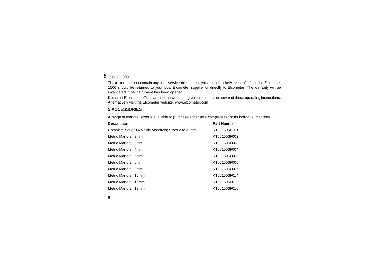### **&** elcometer

The tester does not contain any user-serviceable components. In the unlikely event of a fault, the Elcometer 1506 should be returned to your local Elcometer supplier or directly to Elcometer. The warranty will be invalidated if the instrument has been opened.

Details of Elcometer offices around the world are given on the outside cover of these operating instructions. Alternatively visit the Elcometer website, [www.elcometer.com](http://www.elcometer.com)

### <span id="page-9-0"></span>**5 ACCESSORIES**

A range of mandrel sizes is available to purchase either as a complete set or as individual mandrels.

| <b>Part Number</b> |
|--------------------|
| KT001506P201       |
| KT001506F002       |
| KT001506F003       |
| KT001506F004       |
| KT001506F005       |
| KT001506F006       |
| KT001506F007       |
| KT001506F014       |
| KT001506F015       |
| KT001506F016       |
|                    |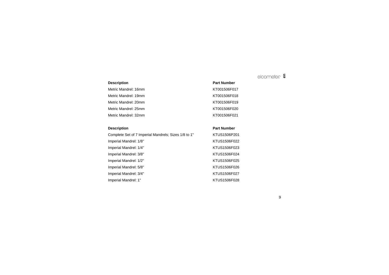Metric Mandrel: 16mm and the control of the Mandrel: 16mm and the control of the KT001506F017 Metric Mandrel: 19mm and a series and the Mandrel: 19mm and the Contract of the KT001506F018 Metric Mandrel: 20mm and the control of the Mandrel: 20mm and the control of the KT001506F019 Metric Mandrel: 25mm KT001506F020Metric Mandrel: 32mm and the state of the Mandrel: 32mm and the state of the MT001506F021

Complete Set of 7 Imperial Mandrels; Sizes 1/8 to 1" KTUS1506P201 Imperial Mandrel: 1/8" Mandrel: 1/8" Mandrel: 1/8" Mandrel: 1/8" Mandrel: 1/8" Mandrel: 1/8" Mandrel: 1/8" Mandrel: 1/8" Mandrel: 1/8" Mandrel: 1/8" Mandrel: 1/8" Mandrel: 1/8" Mandrel: 1/8" Mandrel: 1/8" Mandrel: 1/8" Man Imperial Mandrel: 1/4" and a set of the set of the State State State State State State State State State State State State State State State State State State State State State State State State State State State State Sta Imperial Mandrel: 3/8" and a set of the set of the STUS1506F024 Imperial Mandrel: 1/2" and a set of the set of the KTUS1506F025 Imperial Mandrel: 5/8" Mandrel: 5/8" Mandrel: 5/8" Mandrel: 5/8" Mandrel: EUS1506F026 Imperial Mandrel: 3/4" KTUS1506F027 Imperial Mandrel: 1" KTUS1506F028

# **Description**<br> **Part Number**

# **Description**<br> **Part Number**